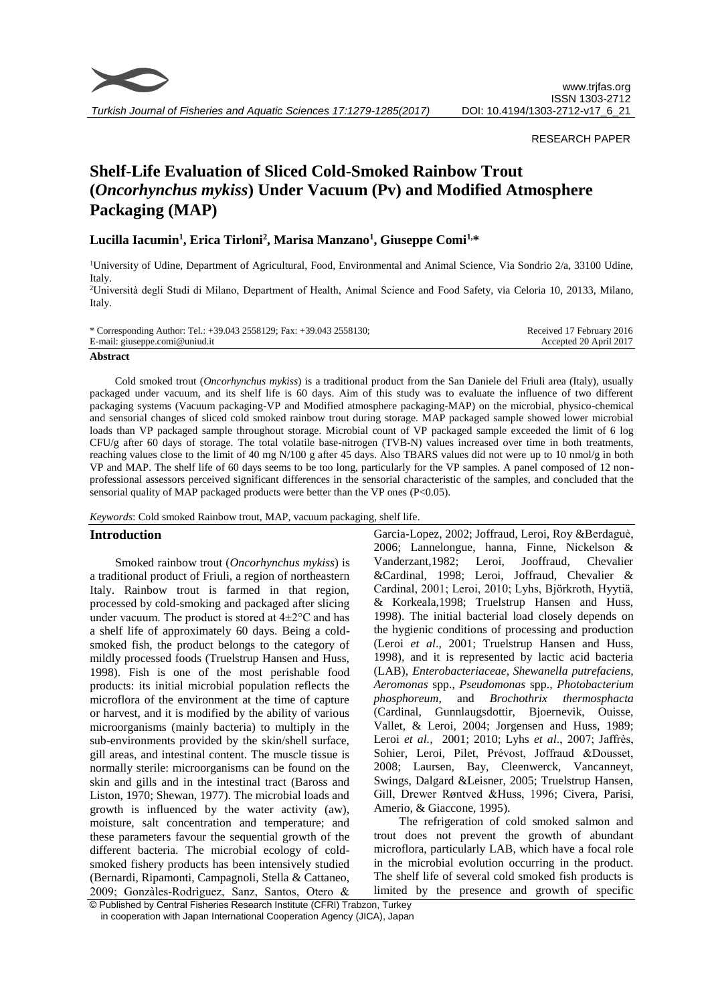

*Turkish Journal of Fisheries and Aquatic Sciences 17:1279-1285(2017)*

#### RESEARCH PAPER

# **Shelf-Life Evaluation of Sliced Cold-Smoked Rainbow Trout (***Oncorhynchus mykiss***) Under Vacuum (Pv) and Modified Atmosphere Packaging (MAP)**

## **Lucilla Iacumin<sup>1</sup> , Erica Tirloni<sup>2</sup> , Marisa Manzano<sup>1</sup> , Giuseppe Comi1,\***

<sup>1</sup>University of Udine, Department of Agricultural, Food, Environmental and Animal Science, Via Sondrio 2/a, 33100 Udine, Italy.

<sup>2</sup>Università degli Studi di Milano, Department of Health, Animal Science and Food Safety, via Celoria 10, 20133, Milano, Italy.

| * Corresponding Author: Tel.: +39.043 2558129; Fax: +39.043 2558130; | Received 17 February 2016 |
|----------------------------------------------------------------------|---------------------------|
| E-mail: giuseppe.comi@uniud.it                                       | Accepted 20 April 2017    |
|                                                                      |                           |

#### **Abstract**

Cold smoked trout (*Oncorhynchus mykiss*) is a traditional product from the San Daniele del Friuli area (Italy), usually packaged under vacuum, and its shelf life is 60 days. Aim of this study was to evaluate the influence of two different packaging systems (Vacuum packaging-VP and Modified atmosphere packaging-MAP) on the microbial, physico-chemical and sensorial changes of sliced cold smoked rainbow trout during storage. MAP packaged sample showed lower microbial loads than VP packaged sample throughout storage. Microbial count of VP packaged sample exceeded the limit of 6 log CFU/g after 60 days of storage. The total volatile base-nitrogen (TVB-N) values increased over time in both treatments, reaching values close to the limit of 40 mg N/100 g after 45 days. Also TBARS values did not were up to 10 nmol/g in both VP and MAP. The shelf life of 60 days seems to be too long, particularly for the VP samples. A panel composed of 12 nonprofessional assessors perceived significant differences in the sensorial characteristic of the samples, and concluded that the sensorial quality of MAP packaged products were better than the VP ones (P<0.05).

*Keywords*: Cold smoked Rainbow trout, MAP, vacuum packaging, shelf life.

#### **Introduction**

Smoked rainbow trout (*Oncorhynchus mykiss*) is a traditional product of Friuli, a region of northeastern Italy. Rainbow trout is farmed in that region, processed by cold-smoking and packaged after slicing under vacuum. The product is stored at 4±2°C and has a shelf life of approximately 60 days. Being a coldsmoked fish, the product belongs to the category of mildly processed foods (Truelstrup Hansen and Huss, 1998). Fish is one of the most perishable food products: its initial microbial population reflects the microflora of the environment at the time of capture or harvest, and it is modified by the ability of various microorganisms (mainly bacteria) to multiply in the sub-environments provided by the skin/shell surface, gill areas, and intestinal content. The muscle tissue is normally sterile: microorganisms can be found on the skin and gills and in the intestinal tract (Baross and Liston, 1970; Shewan, 1977). The microbial loads and growth is influenced by the water activity (aw), moisture, salt concentration and temperature; and these parameters favour the sequential growth of the different bacteria. The microbial ecology of coldsmoked fishery products has been intensively studied (Bernardi, Ripamonti, Campagnoli, Stella & Cattaneo, 2009; Gonzàles-Rodrìguez, Sanz, Santos, Otero &

Garcia-Lopez, 2002; Joffraud, Leroi, Roy &Berdaguè, 2006; Lannelongue, hanna, Finne, Nickelson & Vanderzant,1982; Leroi, Jooffraud, Chevalier &Cardinal, 1998; Leroi, Joffraud, Chevalier & Cardinal, 2001; Leroi, 2010; Lyhs, Björkroth, Hyytiä, & Korkeala,1998; Truelstrup Hansen and Huss, 1998). The initial bacterial load closely depends on the hygienic conditions of processing and production (Leroi *et al*., 2001; Truelstrup Hansen and Huss, 1998), and it is represented by lactic acid bacteria (LAB), *Enterobacteriaceae*, *Shewanella putrefaciens, Aeromonas* spp., *Pseudomonas* spp., *Photobacterium phosphoreum*, and *Brochothrix thermosphacta*  (Cardinal, Gunnlaugsdottir, Bjoernevik, Ouisse, Vallet, & Leroi, 2004; Jorgensen and Huss, 1989; Leroi *et al.,* 2001; 2010; Lyhs *et al*., 2007; Jaffrès, Sohier, Leroi, Pilet, Prévost, Joffraud &Dousset, 2008; Laursen, Bay, Cleenwerck, Vancanneyt, Swings, Dalgard &Leisner, 2005; Truelstrup Hansen, Gill, Drewer Røntved &Huss, 1996; Civera, Parisi, Amerio, & Giaccone, 1995).

The refrigeration of cold smoked salmon and trout does not prevent the growth of abundant microflora, particularly LAB, which have a focal role in the microbial evolution occurring in the product. The shelf life of several cold smoked fish products is limited by the presence and growth of specific

<sup>©</sup> Published by Central Fisheries Research Institute (CFRI) Trabzon, Turkey in cooperation with Japan International Cooperation Agency (JICA), Japan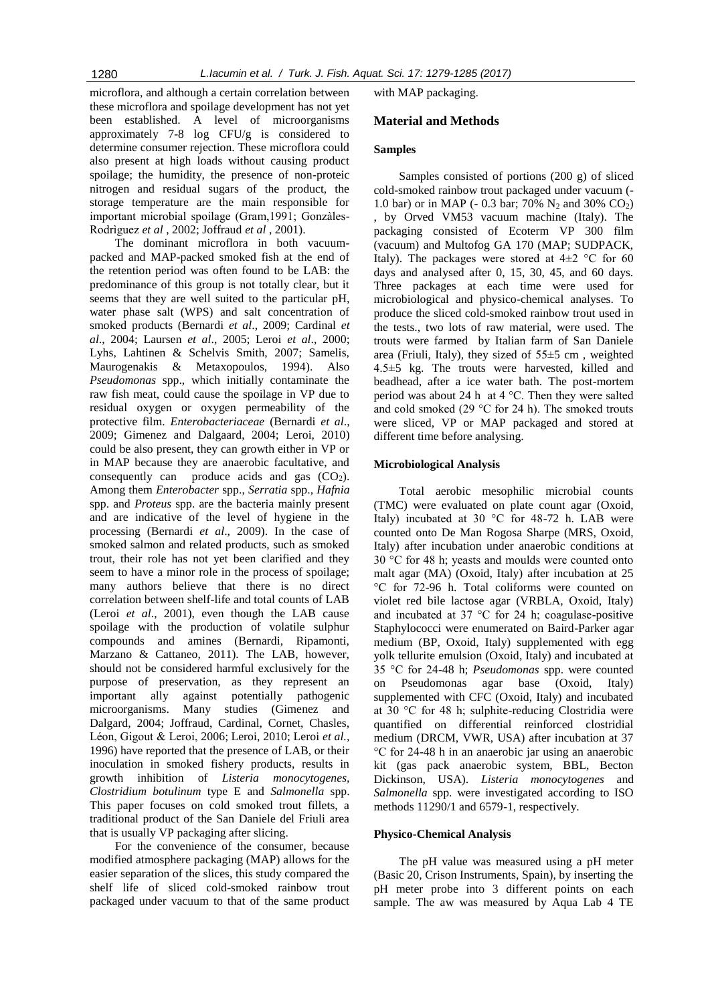microflora, and although a certain correlation between these microflora and spoilage development has not yet been established. A level of microorganisms approximately 7-8 log CFU/g is considered to determine consumer rejection. These microflora could also present at high loads without causing product spoilage; the humidity, the presence of non-proteic nitrogen and residual sugars of the product, the storage temperature are the main responsible for important microbial spoilage (Gram,1991; Gonzàles-Rodrìguez *et al* , 2002; Joffraud *et al* , 2001).

The dominant microflora in both vacuumpacked and MAP-packed smoked fish at the end of the retention period was often found to be LAB: the predominance of this group is not totally clear, but it seems that they are well suited to the particular pH, water phase salt (WPS) and salt concentration of smoked products (Bernardi *et al*., 2009; Cardinal *et al*., 2004; Laursen *et al*., 2005; Leroi *et al*., 2000; Lyhs, Lahtinen & Schelvis Smith, 2007; Samelis, Maurogenakis & Metaxopoulos, 1994). Also *Pseudomonas* spp., which initially contaminate the raw fish meat, could cause the spoilage in VP due to residual oxygen or oxygen permeability of the protective film. *Enterobacteriaceae* (Bernardi *et al*., 2009; Gimenez and Dalgaard, 2004; Leroi, 2010) could be also present, they can growth either in VP or in MAP because they are anaerobic facultative, and consequently can produce acids and gas  $(CO<sub>2</sub>)$ . Among them *Enterobacter* spp., *Serratia* spp., *Hafnia* spp. and *Proteus* spp. are the bacteria mainly present and are indicative of the level of hygiene in the processing (Bernardi *et al*., 2009). In the case of smoked salmon and related products, such as smoked trout, their role has not yet been clarified and they seem to have a minor role in the process of spoilage; many authors believe that there is no direct correlation between shelf-life and total counts of LAB (Leroi *et al*., 2001), even though the LAB cause spoilage with the production of volatile sulphur compounds and amines (Bernardi, Ripamonti, Marzano & Cattaneo, 2011). The LAB, however, should not be considered harmful exclusively for the purpose of preservation, as they represent an important ally against potentially pathogenic microorganisms. Many studies (Gimenez and Dalgard, 2004; Joffraud, Cardinal, Cornet, Chasles, Léon, Gigout & Leroi, 2006; Leroi, 2010; Leroi *et al.,*  1996) have reported that the presence of LAB, or their inoculation in smoked fishery products, results in growth inhibition of *Listeria monocytogenes, Clostridium botulinum* type E and *Salmonella* spp. This paper focuses on cold smoked trout fillets, a traditional product of the San Daniele del Friuli area that is usually VP packaging after slicing.

For the convenience of the consumer, because modified atmosphere packaging (MAP) allows for the easier separation of the slices, this study compared the shelf life of sliced cold-smoked rainbow trout packaged under vacuum to that of the same product with MAP packaging.

## **Material and Methods**

## **Samples**

Samples consisted of portions (200 g) of sliced cold-smoked rainbow trout packaged under vacuum (- 1.0 bar) or in MAP (- 0.3 bar; 70% N<sub>2</sub> and 30% CO<sub>2</sub>) , by Orved VM53 vacuum machine (Italy). The packaging consisted of Ecoterm VP 300 film (vacuum) and Multofog GA 170 (MAP; SUDPACK, Italy). The packages were stored at  $4\pm 2$  °C for 60 days and analysed after 0, 15, 30, 45, and 60 days. Three packages at each time were used for microbiological and physico-chemical analyses. To produce the sliced cold-smoked rainbow trout used in the tests., two lots of raw material, were used. The trouts were farmed by Italian farm of San Daniele area (Friuli, Italy), they sized of 55±5 cm , weighted 4.5±5 kg. The trouts were harvested, killed and beadhead, after a ice water bath. The post-mortem period was about 24 h at 4 °C. Then they were salted and cold smoked (29 °C for 24 h). The smoked trouts were sliced, VP or MAP packaged and stored at different time before analysing.

#### **Microbiological Analysis**

Total aerobic mesophilic microbial counts (TMC) were evaluated on plate count agar (Oxoid, Italy) incubated at 30 °C for 48-72 h. LAB were counted onto De Man Rogosa Sharpe (MRS, Oxoid, Italy) after incubation under anaerobic conditions at 30 °C for 48 h; yeasts and moulds were counted onto malt agar (MA) (Oxoid, Italy) after incubation at 25 °C for 72-96 h. Total coliforms were counted on violet red bile lactose agar (VRBLA, Oxoid, Italy) and incubated at 37 °C for 24 h; coagulase-positive Staphylococci were enumerated on Baird-Parker agar medium (BP, Oxoid, Italy) supplemented with egg yolk tellurite emulsion (Oxoid, Italy) and incubated at 35 °C for 24-48 h; *Pseudomonas* spp. were counted on Pseudomonas agar base (Oxoid, Italy) supplemented with CFC (Oxoid, Italy) and incubated at 30 °C for 48 h; sulphite-reducing Clostridia were quantified on differential reinforced clostridial medium (DRCM, VWR, USA) after incubation at 37 °C for 24-48 h in an anaerobic jar using an anaerobic kit (gas pack anaerobic system, BBL, Becton Dickinson, USA). *Listeria monocytogenes* and *Salmonella* spp. were investigated according to ISO methods 11290/1 and 6579-1, respectively.

#### **Physico-Chemical Analysis**

The pH value was measured using a pH meter (Basic 20, Crison Instruments, Spain), by inserting the pH meter probe into 3 different points on each sample. The aw was measured by Aqua Lab 4 TE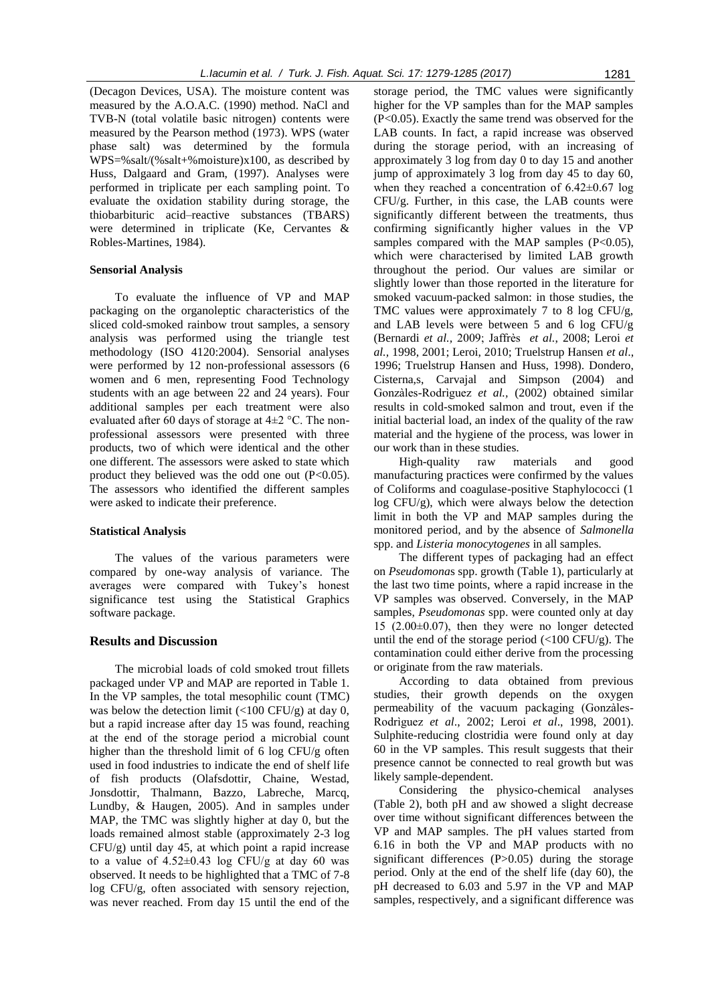(Decagon Devices, USA). The moisture content was measured by the A.O.A.C. (1990) method. NaCl and TVB-N (total volatile basic nitrogen) contents were measured by the Pearson method (1973). WPS (water phase salt) was determined by the formula WPS=%salt/(%salt+%moisture)x100, as described by Huss, Dalgaard and Gram, (1997). Analyses were performed in triplicate per each sampling point. To evaluate the oxidation stability during storage, the thiobarbituric acid–reactive substances (TBARS) were determined in triplicate (Ke, Cervantes & Robles-Martines, 1984).

#### **Sensorial Analysis**

To evaluate the influence of VP and MAP packaging on the organoleptic characteristics of the sliced cold-smoked rainbow trout samples, a sensory analysis was performed using the triangle test methodology (ISO 4120:2004). Sensorial analyses were performed by 12 non-professional assessors (6 women and 6 men, representing Food Technology students with an age between 22 and 24 years). Four additional samples per each treatment were also evaluated after 60 days of storage at  $4\pm 2$  °C. The nonprofessional assessors were presented with three products, two of which were identical and the other one different. The assessors were asked to state which product they believed was the odd one out  $(P<0.05)$ . The assessors who identified the different samples were asked to indicate their preference.

#### **Statistical Analysis**

The values of the various parameters were compared by one-way analysis of variance. The averages were compared with Tukey's honest significance test using the Statistical Graphics software package.

#### **Results and Discussion**

The microbial loads of cold smoked trout fillets packaged under VP and MAP are reported in Table 1. In the VP samples, the total mesophilic count (TMC) was below the detection limit  $\left($ <100 CFU/g) at day 0, but a rapid increase after day 15 was found, reaching at the end of the storage period a microbial count higher than the threshold limit of 6 log CFU/g often used in food industries to indicate the end of shelf life of fish products (Olafsdottir, Chaine, Westad, Jonsdottir, Thalmann, Bazzo, Labreche, Marcq, Lundby, & Haugen, 2005). And in samples under MAP, the TMC was slightly higher at day 0, but the loads remained almost stable (approximately 2-3 log CFU/g) until day 45, at which point a rapid increase to a value of  $4.52\pm0.43$  log CFU/g at day 60 was observed. It needs to be highlighted that a TMC of 7-8 log CFU/g, often associated with sensory rejection, was never reached. From day 15 until the end of the

storage period, the TMC values were significantly higher for the VP samples than for the MAP samples (P<0.05). Exactly the same trend was observed for the LAB counts. In fact, a rapid increase was observed during the storage period, with an increasing of approximately 3 log from day 0 to day 15 and another jump of approximately 3 log from day 45 to day 60, when they reached a concentration of  $6.42 \pm 0.67$  log CFU/g. Further, in this case, the LAB counts were significantly different between the treatments, thus confirming significantly higher values in the VP samples compared with the MAP samples  $(P<0.05)$ , which were characterised by limited LAB growth throughout the period. Our values are similar or slightly lower than those reported in the literature for smoked vacuum-packed salmon: in those studies, the TMC values were approximately 7 to 8 log CFU/g, and LAB levels were between 5 and 6 log CFU/g (Bernardi *et al.,* 2009; Jaffrès *et al.*, 2008; Leroi *et al.,* 1998, 2001; Leroi, 2010; Truelstrup Hansen *et al*., 1996; Truelstrup Hansen and Huss, 1998). Dondero, Cisterna,s, Carvajal and Simpson (2004) and Gonzàles-Rodrìguez *et al.,* (2002) obtained similar results in cold-smoked salmon and trout, even if the initial bacterial load, an index of the quality of the raw material and the hygiene of the process, was lower in our work than in these studies.

High-quality raw materials and good manufacturing practices were confirmed by the values of Coliforms and coagulase-positive Staphylococci (1 log CFU/g), which were always below the detection limit in both the VP and MAP samples during the monitored period, and by the absence of *Salmonella* spp. and *Listeria monocytogenes* in all samples.

The different types of packaging had an effect on *Pseudomona*s spp. growth (Table 1), particularly at the last two time points, where a rapid increase in the VP samples was observed. Conversely, in the MAP samples, *Pseudomonas* spp. were counted only at day 15 (2.00±0.07), then they were no longer detected until the end of the storage period  $\left(\langle 100 \text{ CFU/g} \right)$ . The contamination could either derive from the processing or originate from the raw materials.

According to data obtained from previous studies, their growth depends on the oxygen permeability of the vacuum packaging (Gonzàles-Rodrìguez *et al*., 2002; Leroi *et al*., 1998, 2001). Sulphite-reducing clostridia were found only at day 60 in the VP samples. This result suggests that their presence cannot be connected to real growth but was likely sample-dependent.

Considering the physico-chemical analyses (Table 2), both pH and aw showed a slight decrease over time without significant differences between the VP and MAP samples. The pH values started from 6.16 in both the VP and MAP products with no significant differences (P>0.05) during the storage period. Only at the end of the shelf life (day 60), the pH decreased to 6.03 and 5.97 in the VP and MAP samples, respectively, and a significant difference was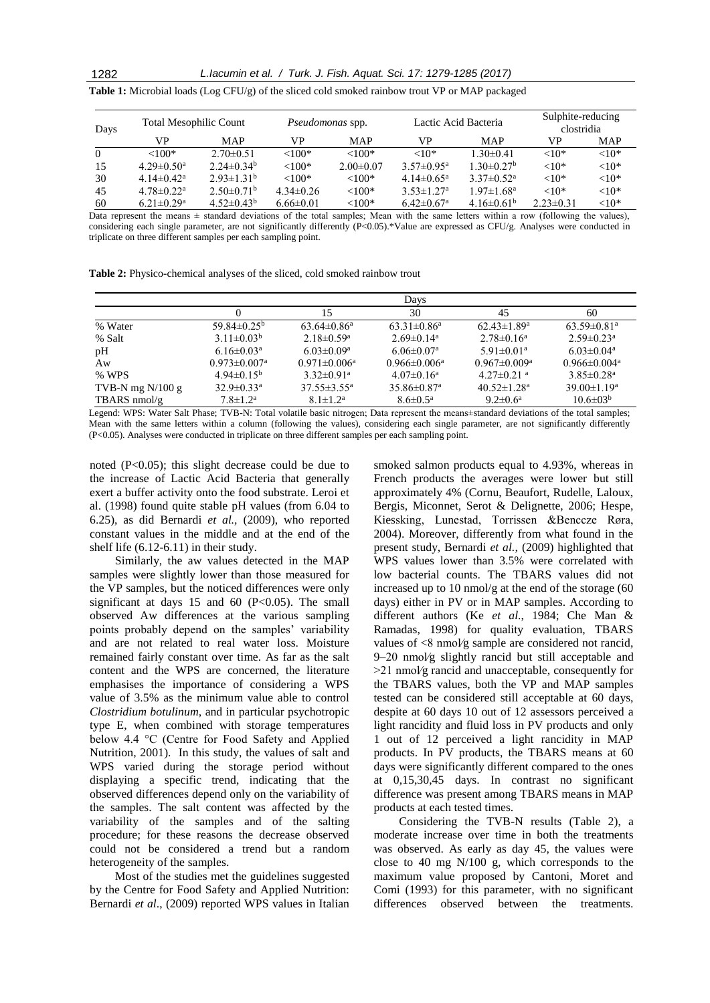1282 *L.Iacumin et al. / Turk. J. Fish. Aquat. Sci. 17: 1279-1285 (2017)*

| Days     | <b>Total Mesophilic Count</b> |                       | <i>Pseudomonas</i> spp. |                 | Lactic Acid Bacteria         |                              | Sulphite-reducing<br>clostridia |          |
|----------|-------------------------------|-----------------------|-------------------------|-----------------|------------------------------|------------------------------|---------------------------------|----------|
|          | VP                            | MAP                   | VP                      | <b>MAP</b>      | VP                           | <b>MAP</b>                   | VP                              | MAP      |
| $\Omega$ | ${<}100*$                     | $2.70\pm0.51$         | ${<}100*$               | $<100*$         | ${<}10*$                     | $1.30 \pm 0.41$              | ${<}10*$                        | ${<}10*$ |
| 15       | $4.29 \pm 0.50$ <sup>a</sup>  | $2.24 \pm 0.34^b$     | ${<}100*$               | $2.00 \pm 0.07$ | $3.57 \pm 0.95^{\text{a}}$   | $1.30 \pm 0.27^b$            | ${<}10*$                        | ${<}10*$ |
| 30       | $4.14 \pm 0.42^a$             | $2.93 \pm 1.31^b$     | $<100*$                 | ${<}100*$       | $4.14 \pm 0.65$ <sup>a</sup> | $3.37 \pm 0.52^{\text{a}}$   | ${<}10*$                        | ${<}10*$ |
| 45       | $4.78 \pm 0.22$ <sup>a</sup>  | $2.50\pm0.71^{\rm b}$ | $4.34\pm0.26$           | ${<}100*$       | $3.53 \pm 1.27$ <sup>a</sup> | $1.97 \pm 1.68$ <sup>a</sup> | ${<}10*$                        | ${<}10*$ |
| 60       | $6.21 \pm 0.29$ <sup>a</sup>  | $4.52 \pm 0.43^b$     | $6.66 \pm 0.01$         | ${<}100*$       | $6.42 \pm 0.67$ <sup>a</sup> | $4.16\pm0.61b$               | $2.23 \pm 0.31$                 | ${<}10*$ |

**Table 1:** Microbial loads (Log CFU/g) of the sliced cold smoked rainbow trout VP or MAP packaged

Data represent the means  $\pm$  standard deviations of the total samples; Mean with the same letters within a row (following the values), considering each single parameter, are not significantly differently (P<0.05).\*Value are expressed as CFU/g. Analyses were conducted in triplicate on three different samples per each sampling point.

**Table 2:** Physico-chemical analyses of the sliced, cold smoked rainbow trout

|                    |                                |                              | Days                          |                                |                                |
|--------------------|--------------------------------|------------------------------|-------------------------------|--------------------------------|--------------------------------|
|                    |                                | 15                           | 30                            | 45                             | 60                             |
| % Water            | $59.84\pm0.25^{\rm b}$         | $63.64 \pm 0.86^a$           | $63.31 \pm 0.86^a$            | $62.43 \pm 1.89$ <sup>a</sup>  | $63.59 \pm 0.81$ <sup>a</sup>  |
| % Salt             | $3.11 \pm 0.03^b$              | $2.18 \pm 0.59$ <sup>a</sup> | $2.69 \pm 0.14$ <sup>a</sup>  | $2.78 \pm 0.16^a$              | $2.59 \pm 0.23$ <sup>a</sup>   |
| pH                 | $6.16 \pm 0.03$ <sup>a</sup>   | $6.03 \pm 0.09$ <sup>a</sup> | $6.06 \pm 0.07$ <sup>a</sup>  | $5.91 \pm 0.01$ <sup>a</sup>   | $6.03 \pm 0.04$ <sup>a</sup>   |
| Aw                 | $0.973 \pm 0.007$ <sup>a</sup> | $0.971 \pm 0.006^a$          | $0.966 \pm 0.006^a$           | $0.967 \pm 0.009$ <sup>a</sup> | $0.966 \pm 0.004$ <sup>a</sup> |
| % WPS              | $4.94\pm0.15^{\rm b}$          | $3.32 \pm 0.91$ <sup>a</sup> | $4.07\pm0.16^{\rm a}$         | $4.27 \pm 0.21$ <sup>a</sup>   | $3.85 \pm 0.28$ <sup>a</sup>   |
| TVB-N mg $N/100 g$ | $32.9 \pm 0.33$ <sup>a</sup>   | $37.55 \pm 3.55^{\circ}$     | $35.86 \pm 0.87$ <sup>a</sup> | $40.52 \pm 1.28$ <sup>a</sup>  | $39.00 \pm 1.19^a$             |
| TBARS $nmol/g$     | $7.8 \pm 1.2^{\rm a}$          | $8.1 \pm 1.2^a$              | $8.6 \pm 0.5^{\text{a}}$      | $9.2 \pm 0.6^{\text{a}}$       | $10.6 \pm 0.3^{b}$             |

Legend: WPS: Water Salt Phase; TVB-N: Total volatile basic nitrogen; Data represent the means±standard deviations of the total samples; Mean with the same letters within a column (following the values), considering each single parameter, are not significantly differently (P<0.05). Analyses were conducted in triplicate on three different samples per each sampling point.

noted (P<0.05); this slight decrease could be due to the increase of Lactic Acid Bacteria that generally exert a buffer activity onto the food substrate. Leroi et al. (1998) found quite stable pH values (from 6.04 to 6.25), as did Bernardi *et al.,* (2009), who reported constant values in the middle and at the end of the shelf life (6.12-6.11) in their study.

Similarly, the aw values detected in the MAP samples were slightly lower than those measured for the VP samples, but the noticed differences were only significant at days  $15$  and  $60$  (P<0.05). The small observed Aw differences at the various sampling points probably depend on the samples' variability and are not related to real water loss. Moisture remained fairly constant over time. As far as the salt content and the WPS are concerned, the literature emphasises the importance of considering a WPS value of 3.5% as the minimum value able to control *Clostridium botulinum*, and in particular psychotropic type E, when combined with storage temperatures below 4.4 °C (Centre for Food Safety and Applied Nutrition, 2001). In this study, the values of salt and WPS varied during the storage period without displaying a specific trend, indicating that the observed differences depend only on the variability of the samples. The salt content was affected by the variability of the samples and of the salting procedure; for these reasons the decrease observed could not be considered a trend but a random heterogeneity of the samples.

Most of the studies met the guidelines suggested by the Centre for Food Safety and Applied Nutrition: Bernardi *et al*., (2009) reported WPS values in Italian

smoked salmon products equal to 4.93%, whereas in French products the averages were lower but still approximately 4% (Cornu, Beaufort, Rudelle, Laloux, Bergis, Miconnet, Serot & Delignette, 2006; Hespe, Kiessking, Lunestad, Torrissen &Benccze Røra, 2004). Moreover, differently from what found in the present study, Bernardi *et al.,* (2009) highlighted that WPS values lower than 3.5% were correlated with low bacterial counts. The TBARS values did not increased up to 10 nmol/g at the end of the storage (60 days) either in PV or in MAP samples. According to different authors (Ke *et al*., 1984; Che Man & Ramadas, 1998) for quality evaluation, TBARS values of <8 nmol/g sample are considered not rancid, 9–20 nmol⁄g slightly rancid but still acceptable and >21 nmol⁄g rancid and unacceptable, consequently for the TBARS values, both the VP and MAP samples tested can be considered still acceptable at 60 days, despite at 60 days 10 out of 12 assessors perceived a light rancidity and fluid loss in PV products and only 1 out of 12 perceived a light rancidity in MAP products. In PV products, the TBARS means at 60 days were significantly different compared to the ones at 0,15,30,45 days. In contrast no significant difference was present among TBARS means in MAP products at each tested times.

Considering the TVB-N results (Table 2), a moderate increase over time in both the treatments was observed. As early as day 45, the values were close to 40 mg N/100 g, which corresponds to the maximum value proposed by Cantoni, Moret and Comi (1993) for this parameter, with no significant differences observed between the treatments.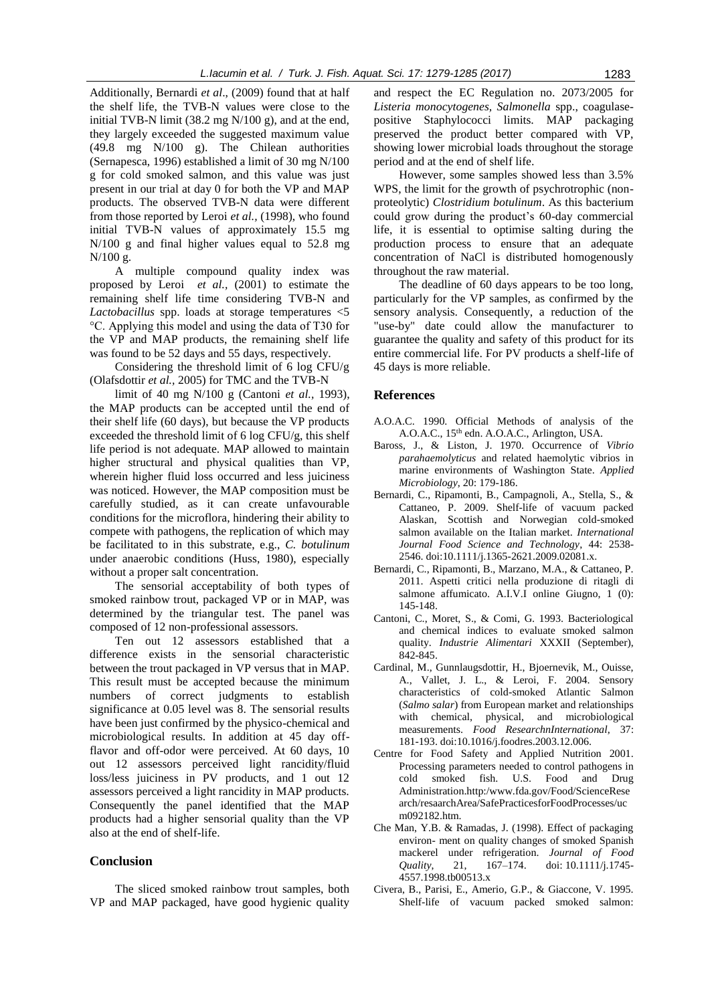Additionally, Bernardi *et al*., (2009) found that at half the shelf life, the TVB-N values were close to the initial TVB-N limit  $(38.2 \text{ mg N}/100 \text{ g})$ , and at the end, they largely exceeded the suggested maximum value (49.8 mg N/100 g). The Chilean authorities (Sernapesca, 1996) established a limit of 30 mg N/100 g for cold smoked salmon, and this value was just present in our trial at day 0 for both the VP and MAP products. The observed TVB-N data were different from those reported by Leroi *et al.,* (1998), who found initial TVB-N values of approximately 15.5 mg N/100 g and final higher values equal to 52.8 mg N/100 g.

A multiple compound quality index was proposed by Leroi *et al.,* (2001) to estimate the remaining shelf life time considering TVB-N and *Lactobacillus* spp. loads at storage temperatures <5 °C. Applying this model and using the data of T30 for the VP and MAP products, the remaining shelf life was found to be 52 days and 55 days, respectively.

Considering the threshold limit of 6 log CFU/g (Olafsdottir *et al.,* 2005) for TMC and the TVB-N

limit of 40 mg N/100 g (Cantoni *et al.,* 1993), the MAP products can be accepted until the end of their shelf life (60 days), but because the VP products exceeded the threshold limit of 6 log CFU/g, this shelf life period is not adequate. MAP allowed to maintain higher structural and physical qualities than VP, wherein higher fluid loss occurred and less juiciness was noticed. However, the MAP composition must be carefully studied, as it can create unfavourable conditions for the microflora, hindering their ability to compete with pathogens, the replication of which may be facilitated to in this substrate, e.g., *C. botulinum* under anaerobic conditions (Huss, 1980), especially without a proper salt concentration.

The sensorial acceptability of both types of smoked rainbow trout, packaged VP or in MAP, was determined by the triangular test. The panel was composed of 12 non-professional assessors.

Ten out 12 assessors established that a difference exists in the sensorial characteristic between the trout packaged in VP versus that in MAP. This result must be accepted because the minimum numbers of correct judgments to establish significance at 0.05 level was 8. The sensorial results have been just confirmed by the physico-chemical and microbiological results. In addition at 45 day offflavor and off-odor were perceived. At 60 days, 10 out 12 assessors perceived light rancidity/fluid loss/less juiciness in PV products, and 1 out 12 assessors perceived a light rancidity in MAP products. Consequently the panel identified that the MAP products had a higher sensorial quality than the VP also at the end of shelf-life.

#### **Conclusion**

The sliced smoked rainbow trout samples, both VP and MAP packaged, have good hygienic quality

and respect the EC Regulation no. 2073/2005 for *Listeria monocytogenes, Salmonella* spp., coagulasepositive Staphylococci limits. MAP packaging preserved the product better compared with VP, showing lower microbial loads throughout the storage period and at the end of shelf life.

However, some samples showed less than 3.5% WPS, the limit for the growth of psychrotrophic (nonproteolytic) *Clostridium botulinum*. As this bacterium could grow during the product's 60-day commercial life, it is essential to optimise salting during the production process to ensure that an adequate concentration of NaCl is distributed homogenously throughout the raw material.

The deadline of 60 days appears to be too long, particularly for the VP samples, as confirmed by the sensory analysis. Consequently, a reduction of the "use-by" date could allow the manufacturer to guarantee the quality and safety of this product for its entire commercial life. For PV products a shelf-life of 45 days is more reliable.

## **References**

A.O.A.C. 1990. Official Methods of analysis of the A.O.A.C., 15<sup>th</sup> edn. A.O.A.C., Arlington, USA.

- Baross, J., & Liston, J. 1970. Occurrence of *Vibrio parahaemolyticus* and related haemolytic vibrios in marine environments of Washington State. *Applied Microbiology*, 20: 179-186.
- Bernardi, C., Ripamonti, B., Campagnoli, A., Stella, S., & Cattaneo, P. 2009. Shelf-life of vacuum packed Alaskan, Scottish and Norwegian cold-smoked salmon available on the Italian market. *International Journal Food Science and Technology*, 44: 2538- 2546. doi:10.1111/j.1365-2621.2009.02081.x.
- Bernardi, C., Ripamonti, B., Marzano, M.A., & Cattaneo, P. 2011. Aspetti critici nella produzione di ritagli di salmone affumicato. A.I.V.I online Giugno, 1 (0): 145-148.
- Cantoni, C., Moret, S., & Comi, G. 1993. Bacteriological and chemical indices to evaluate smoked salmon quality. *Industrie Alimentari* XXXII (September), 842-845.
- Cardinal, M., Gunnlaugsdottir, H., Bjoernevik, M., Ouisse, A., Vallet, J. L., & Leroi, F. 2004. Sensory characteristics of cold-smoked Atlantic Salmon (*Salmo salar*) from European market and relationships with chemical, physical, and microbiological measurements. *Food ResearchnInternational*, 37: 181-193. doi:10.1016/j.foodres.2003.12.006.
- Centre for Food Safety and Applied Nutrition 2001. Processing parameters needed to control pathogens in cold smoked fish. U.S. Food and Drug Administration.http:/www.fda.gov/Food/ScienceRese arch/resaarchArea/SafePracticesforFoodProcesses/uc m092182.htm.
- Che Man, Y.B. & Ramadas, J. (1998). Effect of packaging environ- ment on quality changes of smoked Spanish mackerel under refrigeration. *Journal of Food Quality*, 21, 167–174. doi: 10.1111/j.1745- 4557.1998.tb00513.x
- Civera, B., Parisi, E., Amerio, G.P., & Giaccone, V. 1995. Shelf-life of vacuum packed smoked salmon: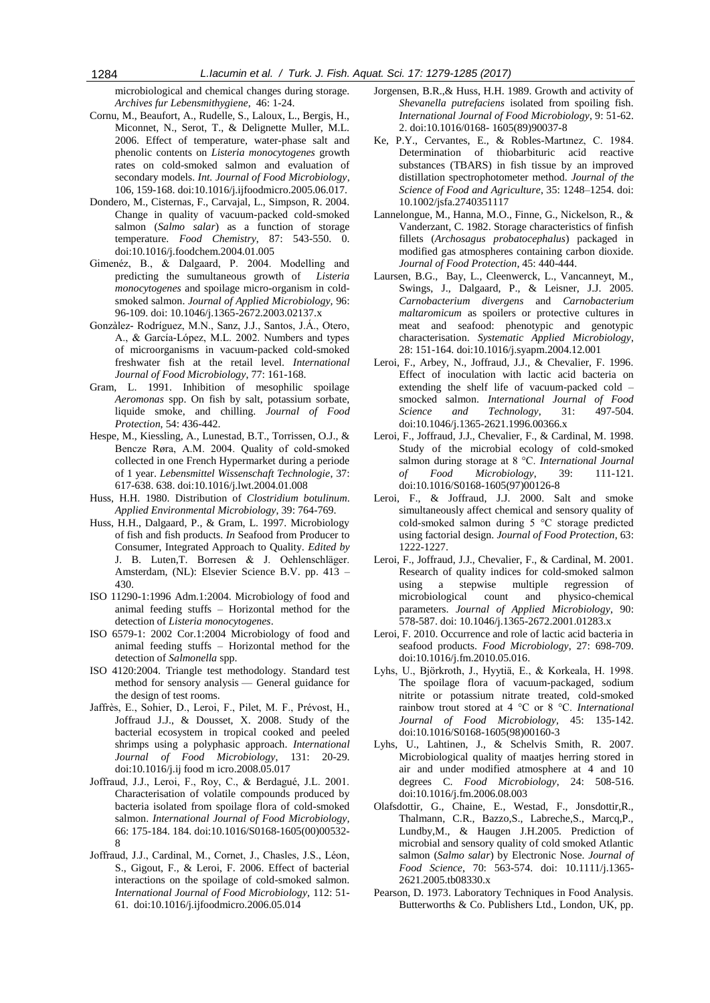microbiological and chemical changes during storage. *Archives fur Lebensmithygiene*,46: 1-24.

- Cornu, M., Beaufort, A., Rudelle, S., Laloux, L., Bergis, H., Miconnet, N., Serot, T., & Delignette Muller, M.L. 2006. Effect of temperature, water-phase salt and phenolic contents on *Listeria monocytogenes* growth rates on cold-smoked salmon and evaluation of secondary models. *Int. Journal of Food Microbiology*, 106*,* 159-168. doi:10.1016/j.ijfoodmicro.2005.06.017.
- Dondero, M., Cisternas, F., Carvajal, L., Simpson, R. 2004. Change in quality of vacuum-packed cold-smoked salmon (*Salmo salar*) as a function of storage temperature. *Food Chemistry*, 87: 543-550. 0. doi:10.1016/j.foodchem.2004.01.005
- Gimenéz, B., & Dalgaard, P. 2004. Modelling and predicting the sumultaneous growth of *Listeria monocytogenes* and spoilage micro-organism in coldsmoked salmon. *Journal of Applied Microbiology,* 96: 96-109. doi: 10.1046/j.1365-2672.2003.02137.x
- Gonzàlez- Rodríguez, M.N., Sanz, J.J., Santos, J.Á., Otero, A., & García-López, M.L. 2002. Numbers and types of microorganisms in vacuum-packed cold-smoked freshwater fish at the retail level. *International Journal of Food Microbiology*, 77: 161-168.
- Gram, L. 1991. Inhibition of mesophilic spoilage *Aeromonas* spp. On fish by salt, potassium sorbate, liquide smoke, and chilling. *Journal of Food Protection*, 54: 436-442.
- Hespe, M., Kiessling, A., Lunestad, B.T., Torrissen, O.J., & Bencze Røra, A.M. 2004. Quality of cold-smoked collected in one French Hypermarket during a periode of 1 year. *Lebensmittel Wissenschaft Technologie*, 37: 617-638. 638. doi:10.1016/j.lwt.2004.01.008
- Huss, H.H. 1980. Distribution of *Clostridium botulinum*. *Applied Environmental Microbiology*, 39: 764-769.
- Huss, H.H., Dalgaard, P., & Gram, L. 1997. Microbiology of fish and fish products. *In* Seafood from Producer to Consumer, Integrated Approach to Quality. *Edited by* J. B. Luten,T. Borresen & J. Oehlenschläger. Amsterdam, (NL): Elsevier Science B.V. pp. 413 – 430.
- ISO 11290-1:1996 Adm.1:2004. Microbiology of food and animal feeding stuffs – Horizontal method for the detection of *Listeria monocytogenes*.
- ISO 6579-1: 2002 Cor.1:2004 Microbiology of food and animal feeding stuffs – Horizontal method for the detection of *Salmonella* spp.
- ISO 4120:2004. Triangle test methodology. Standard test method for sensory analysis — General guidance for the design of test rooms.
- Jaffrès, E., Sohier, D., Leroi, F., Pilet, M. F., Prévost, H., Joffraud J.J., & Dousset, X. 2008. Study of the bacterial ecosystem in tropical cooked and peeled shrimps using a polyphasic approach. *International Journal of Food Microbiology*, 131: 20-29. doi:10.1016/j.ij food m icro.2008.05.017
- Joffraud, J.J., Leroi, F., Roy, C., & Berdagué, J.L. 2001. Characterisation of volatile compounds produced by bacteria isolated from spoilage flora of cold-smoked salmon. *International Journal of Food Microbiology,*  66: 175-184. 184. doi:10.1016/S0168-1605(00)00532- 8
- Joffraud, J.J., Cardinal, M., Cornet, J., Chasles, J.S., Léon, S., Gigout, F., & Leroi, F. 2006. Effect of bacterial interactions on the spoilage of cold-smoked salmon. *International Journal of Food Microbiology,* 112: 51- 61. doi:10.1016/j.ijfoodmicro.2006.05.014
- Jorgensen, B.R.,& Huss, H.H. 1989. Growth and activity of *Shevanella putrefaciens* isolated from spoiling fish. *International Journal of Food Microbiology*, 9: 51-62. 2. doi:10.1016/0168- 1605(89)90037-8
- Ke, P.Y., Cervantes, E., & Robles-Martınez, C. 1984. Determination of thiobarbituric acid reactive substances (TBARS) in fish tissue by an improved distillation spectrophotometer method. *Journal of the Science of Food and Agriculture*, 35: 1248–1254. doi: 10.1002/jsfa.2740351117
- Lannelongue, M., Hanna, M.O., Finne, G., Nickelson, R., & Vanderzant, C. 1982. Storage characteristics of finfish fillets (*Archosagus probatocephalus*) packaged in modified gas atmospheres containing carbon dioxide. *Journal of Food Protection*, 45: 440-444.
- Laursen, B.G., Bay, L., Cleenwerck, L., Vancanneyt, M., Swings, J., Dalgaard, P., & Leisner, J.J. 2005. *Carnobacterium divergens* and *Carnobacterium maltaromicum* as spoilers or protective cultures in meat and seafood: phenotypic and genotypic characterisation. *Systematic Applied Microbiology*, 28: 151-164. doi:10.1016/j.syapm.2004.12.001
- Leroi, F., Arbey, N., Joffraud, J.J., & Chevalier, F. 1996. Effect of inoculation with lactic acid bacteria on extending the shelf life of vacuum-packed cold – smocked salmon. *International Journal of Food Science and Technology*, 31: 497-504. doi:10.1046/j.1365-2621.1996.00366.x
- Leroi, F., Joffraud, J.J., Chevalier, F., & Cardinal, M. 1998. Study of the microbial ecology of cold-smoked salmon during storage at 8 °C. *International Journal of Food Microbiology*, 39: 111-121. doi:10.1016/S0168-1605(97)00126-8
- Leroi, F., & Joffraud, J.J. 2000. Salt and smoke simultaneously affect chemical and sensory quality of cold-smoked salmon during 5 °C storage predicted using factorial design. *Journal of Food Protection*, 63: 1222-1227.
- Leroi, F., Joffraud, J.J., Chevalier, F., & Cardinal, M. 2001. Research of quality indices for cold-smoked salmon using a stepwise multiple regression of microbiological count and physico-chemical parameters. *Journal of Applied Microbiology*, 90: 578-587. doi: 10.1046/j.1365-2672.2001.01283.x
- Leroi, F. 2010. Occurrence and role of lactic acid bacteria in seafood products. *Food Microbiology*, 27: 698-709. doi:10.1016/j.fm.2010.05.016.
- Lyhs, U., Björkroth, J., Hyytiä, E., & Korkeala, H. 1998. The spoilage flora of vacuum-packaged, sodium nitrite or potassium nitrate treated, cold-smoked rainbow trout stored at 4 °C or 8 °C. *International Journal of Food Microbiology,* 45: 135-142. doi:10.1016/S0168-1605(98)00160-3
- Lyhs, U., Lahtinen, J., & Schelvis Smith, R. 2007. Microbiological quality of maatjes herring stored in air and under modified atmosphere at 4 and 10 degrees C. *Food Microbiology*, 24: 508-516. doi:10.1016/j.fm.2006.08.003
- Olafsdottir, G., Chaine, E., Westad, F., Jonsdottir,R., Thalmann, C.R., Bazzo,S., Labreche,S., Marcq,P., Lundby,M., & Haugen J.H.2005. Prediction of microbial and sensory quality of cold smoked Atlantic salmon (*Salmo salar*) by Electronic Nose. *Journal of Food Science*, 70: 563-574. doi: 10.1111/j.1365- 2621.2005.tb08330.x
- Pearson, D. 1973. Laboratory Techniques in Food Analysis. Butterworths & Co. Publishers Ltd., London, UK, pp.